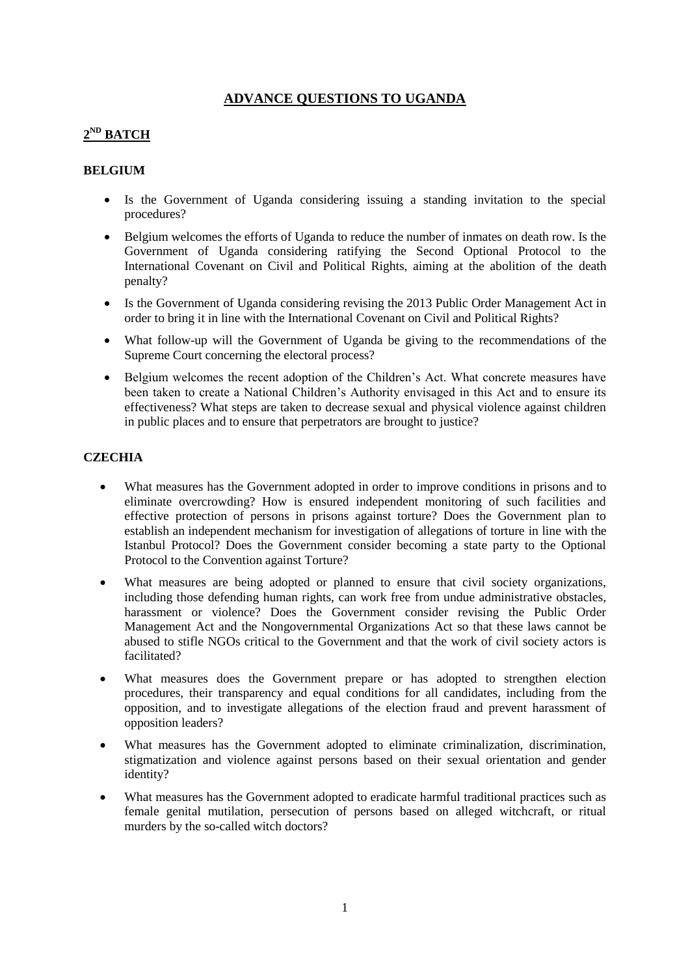## **ADVANCE QUESTIONS TO UGANDA**

# **2 ND BATCH**

## **BELGIUM**

- Is the Government of Uganda considering issuing a standing invitation to the special procedures?
- Belgium welcomes the efforts of Uganda to reduce the number of inmates on death row. Is the Government of Uganda considering ratifying the Second Optional Protocol to the International Covenant on Civil and Political Rights, aiming at the abolition of the death penalty?
- Is the Government of Uganda considering revising the 2013 Public Order Management Act in order to bring it in line with the International Covenant on Civil and Political Rights?
- What follow-up will the Government of Uganda be giving to the recommendations of the Supreme Court concerning the electoral process?
- Belgium welcomes the recent adoption of the Children's Act. What concrete measures have been taken to create a National Children's Authority envisaged in this Act and to ensure its effectiveness? What steps are taken to decrease sexual and physical violence against children in public places and to ensure that perpetrators are brought to justice?

## **CZECHIA**

- What measures has the Government adopted in order to improve conditions in prisons and to eliminate overcrowding? How is ensured independent monitoring of such facilities and effective protection of persons in prisons against torture? Does the Government plan to establish an independent mechanism for investigation of allegations of torture in line with the Istanbul Protocol? Does the Government consider becoming a state party to the Optional Protocol to the Convention against Torture?
- What measures are being adopted or planned to ensure that civil society organizations, including those defending human rights, can work free from undue administrative obstacles, harassment or violence? Does the Government consider revising the Public Order Management Act and the Nongovernmental Organizations Act so that these laws cannot be abused to stifle NGOs critical to the Government and that the work of civil society actors is facilitated?
- What measures does the Government prepare or has adopted to strengthen election procedures, their transparency and equal conditions for all candidates, including from the opposition, and to investigate allegations of the election fraud and prevent harassment of opposition leaders?
- What measures has the Government adopted to eliminate criminalization, discrimination, stigmatization and violence against persons based on their sexual orientation and gender identity?
- What measures has the Government adopted to eradicate harmful traditional practices such as female genital mutilation, persecution of persons based on alleged witchcraft, or ritual murders by the so-called witch doctors?